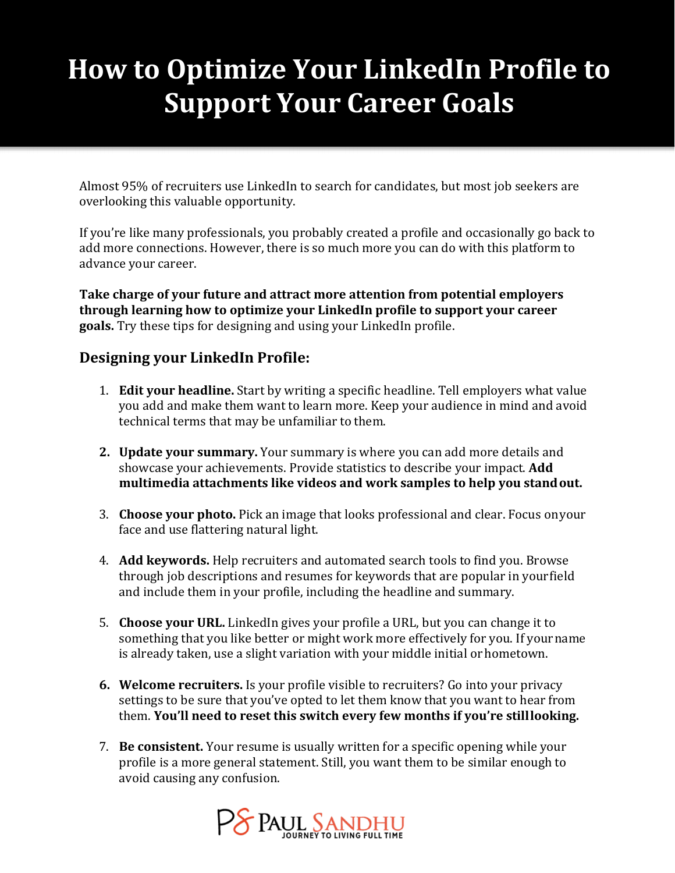## **How to Optimize Your LinkedIn Profile to Support Your Career Goals**

Almost 95% of recruiters use LinkedIn to search for candidates, but most job seekers are overlooking this valuable opportunity.

If you're like many professionals, you probably created a profile and occasionally go back to add more connections. However, there is so much more you can do with this platform to advance your career.

**Take charge of your future and attract more attention from potential employers through learning how to optimize your LinkedIn profile to support your career goals.** Try these tips for designing and using your LinkedIn profile.

## **Designing your LinkedIn Profile:**

- 1. **Edit your headline.** Start by writing a specific headline. Tell employers what value you add and make them want to learn more. Keep your audience in mind and avoid technical terms that may be unfamiliar to them.
- **2. Update your summary.** Your summary is where you can add more details and showcase your achievements. Provide statistics to describe your impact. **Add multimedia attachments like videos and work samples to help you standout.**
- 3. **Choose your photo.** Pick an image that looks professional and clear. Focus onyour face and use flattering natural light.
- 4. **Add keywords.** Help recruiters and automated search tools to find you. Browse through job descriptions and resumes for keywords that are popular in yourfield and include them in your profile, including the headline and summary.
- 5. **Choose your URL.** LinkedIn gives your profile a URL, but you can change it to something that you like better or might work more effectively for you. If yourname is already taken, use a slight variation with your middle initial or hometown.
- **6. Welcome recruiters.** Is your profile visible to recruiters? Go into your privacy settings to be sure that you've opted to let them know that you want to hear from them. **You'll need to reset this switch every few months if you're stilllooking.**
- 7. **Be consistent.** Your resume is usually written for a specific opening while your profile is a more general statement. Still, you want them to be similar enough to avoid causing any confusion.